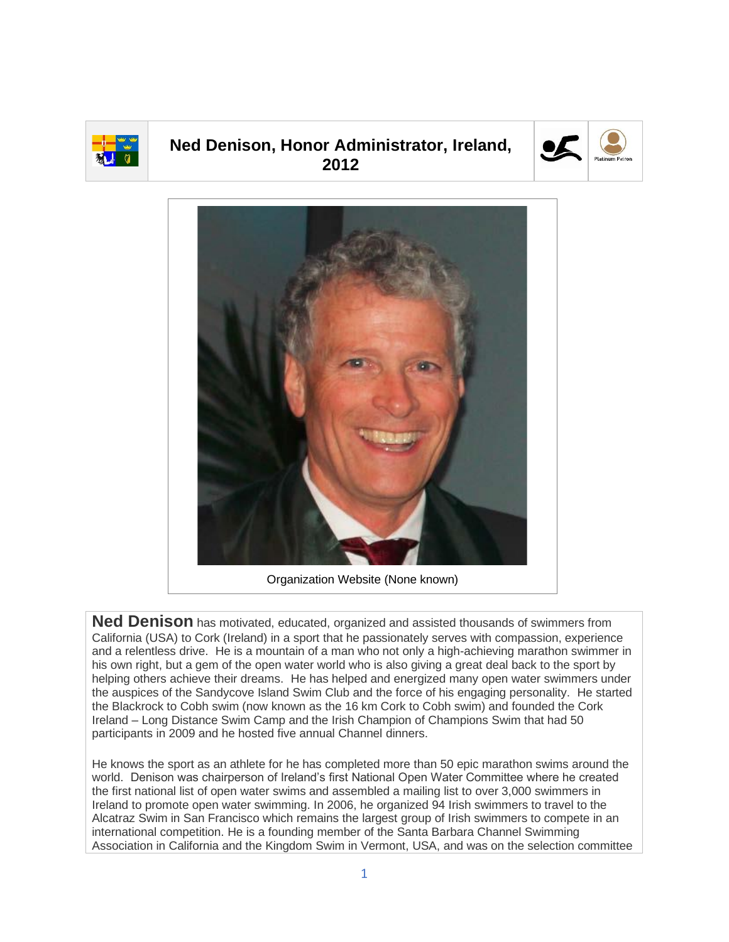

## **Ned Denison, Honor Administrator, Ireland, 2012**





Organization Website (None known)

**Ned Denison** has motivated, educated, organized and assisted thousands of swimmers from California (USA) to Cork (Ireland) in a sport that he passionately serves with compassion, experience and a relentless drive. He is a mountain of a man who not only a high-achieving marathon swimmer in his own right, but a gem of the open water world who is also giving a great deal back to the sport by helping others achieve their dreams. He has helped and energized many open water swimmers under the auspices of the Sandycove Island Swim Club and the force of his engaging personality. He started the Blackrock to Cobh swim (now known as the 16 km Cork to Cobh swim) and founded the Cork Ireland – Long Distance Swim Camp and the Irish Champion of Champions Swim that had 50 participants in 2009 and he hosted five annual Channel dinners.

He knows the sport as an athlete for he has completed more than 50 epic marathon swims around the world. Denison was chairperson of Ireland's first National Open Water Committee where he created the first national list of open water swims and assembled a mailing list to over 3,000 swimmers in Ireland to promote open water swimming. In 2006, he organized 94 Irish swimmers to travel to the Alcatraz Swim in San Francisco which remains the largest group of Irish swimmers to compete in an international competition. He is a founding member of the Santa Barbara Channel Swimming Association in California and the Kingdom Swim in Vermont, USA, and was on the selection committee